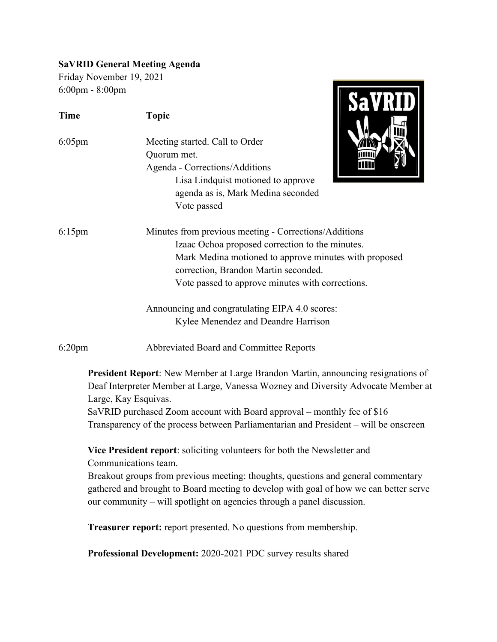## **SaVRID General Meeting Agenda**

Friday November 19, 2021 6:00pm - 8:00pm

| $6:00$ pm - $8:00$ pm |                                                                                                                                                                                                                                                                                                                                                                  |
|-----------------------|------------------------------------------------------------------------------------------------------------------------------------------------------------------------------------------------------------------------------------------------------------------------------------------------------------------------------------------------------------------|
| <b>Time</b>           | <b>Topic</b>                                                                                                                                                                                                                                                                                                                                                     |
| $6:05$ pm             | Meeting started. Call to Order<br>Quorum met.<br>Agenda - Corrections/Additions<br>Lisa Lindquist motioned to approve<br>agenda as is, Mark Medina seconded<br>Vote passed                                                                                                                                                                                       |
| $6:15$ pm             | Minutes from previous meeting - Corrections/Additions<br>Izaac Ochoa proposed correction to the minutes.<br>Mark Medina motioned to approve minutes with proposed<br>correction, Brandon Martin seconded.<br>Vote passed to approve minutes with corrections.                                                                                                    |
|                       | Announcing and congratulating EIPA 4.0 scores:<br>Kylee Menendez and Deandre Harrison                                                                                                                                                                                                                                                                            |
| $6:20$ pm             | Abbreviated Board and Committee Reports                                                                                                                                                                                                                                                                                                                          |
|                       | President Report: New Member at Large Brandon Martin, announcing resignations of<br>Deaf Interpreter Member at Large, Vanessa Wozney and Diversity Advocate Member at<br>Large, Kay Esquivas.<br>SaVRID purchased Zoom account with Board approval – monthly fee of \$16<br>Transparency of the process between Parliamentarian and President – will be onscreen |
|                       | Vice President report: soliciting volunteers for both the Newsletter and<br>Communications team.<br>Breakout groups from previous meeting: thoughts, questions and general commentary<br>gathered and brought to Board meeting to develop with goal of how we can better serve<br>our community - will spotlight on agencies through a panel discussion.         |
|                       | <b>Treasurer report:</b> report presented. No questions from membership.                                                                                                                                                                                                                                                                                         |
|                       |                                                                                                                                                                                                                                                                                                                                                                  |

**Professional Development:** 2020-2021 PDC survey results shared